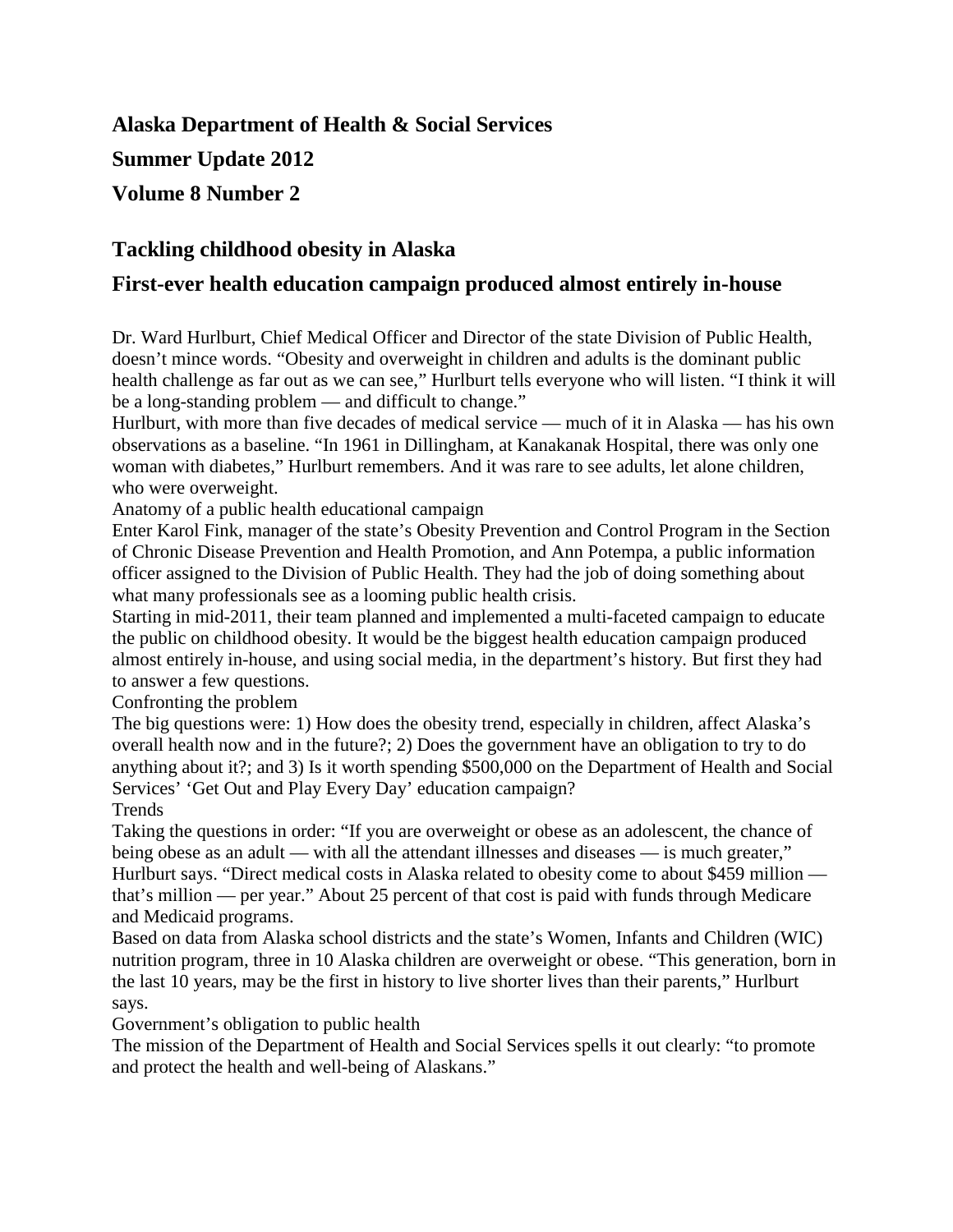# **Alaska Department of Health & Social Services Summer Update 2012 Volume 8 Number 2**

### **Tackling childhood obesity in Alaska**

### **First-ever health education campaign produced almost entirely in-house**

Dr. Ward Hurlburt, Chief Medical Officer and Director of the state Division of Public Health, doesn't mince words. "Obesity and overweight in children and adults is the dominant public health challenge as far out as we can see," Hurlburt tells everyone who will listen. "I think it will be a long-standing problem — and difficult to change."

Hurlburt, with more than five decades of medical service — much of it in Alaska — has his own observations as a baseline. "In 1961 in Dillingham, at Kanakanak Hospital, there was only one woman with diabetes," Hurlburt remembers. And it was rare to see adults, let alone children, who were overweight.

Anatomy of a public health educational campaign

Enter Karol Fink, manager of the state's Obesity Prevention and Control Program in the Section of Chronic Disease Prevention and Health Promotion, and Ann Potempa, a public information officer assigned to the Division of Public Health. They had the job of doing something about what many professionals see as a looming public health crisis.

Starting in mid-2011, their team planned and implemented a multi-faceted campaign to educate the public on childhood obesity. It would be the biggest health education campaign produced almost entirely in-house, and using social media, in the department's history. But first they had to answer a few questions.

Confronting the problem

The big questions were: 1) How does the obesity trend, especially in children, affect Alaska's overall health now and in the future?; 2) Does the government have an obligation to try to do anything about it?; and 3) Is it worth spending \$500,000 on the Department of Health and Social Services' 'Get Out and Play Every Day' education campaign? **Trends** 

Taking the questions in order: "If you are overweight or obese as an adolescent, the chance of being obese as an adult — with all the attendant illnesses and diseases — is much greater," Hurlburt says. "Direct medical costs in Alaska related to obesity come to about \$459 million that's million — per year." About 25 percent of that cost is paid with funds through Medicare and Medicaid programs.

Based on data from Alaska school districts and the state's Women, Infants and Children (WIC) nutrition program, three in 10 Alaska children are overweight or obese. "This generation, born in the last 10 years, may be the first in history to live shorter lives than their parents," Hurlburt says.

Government's obligation to public health

The mission of the Department of Health and Social Services spells it out clearly: "to promote and protect the health and well-being of Alaskans."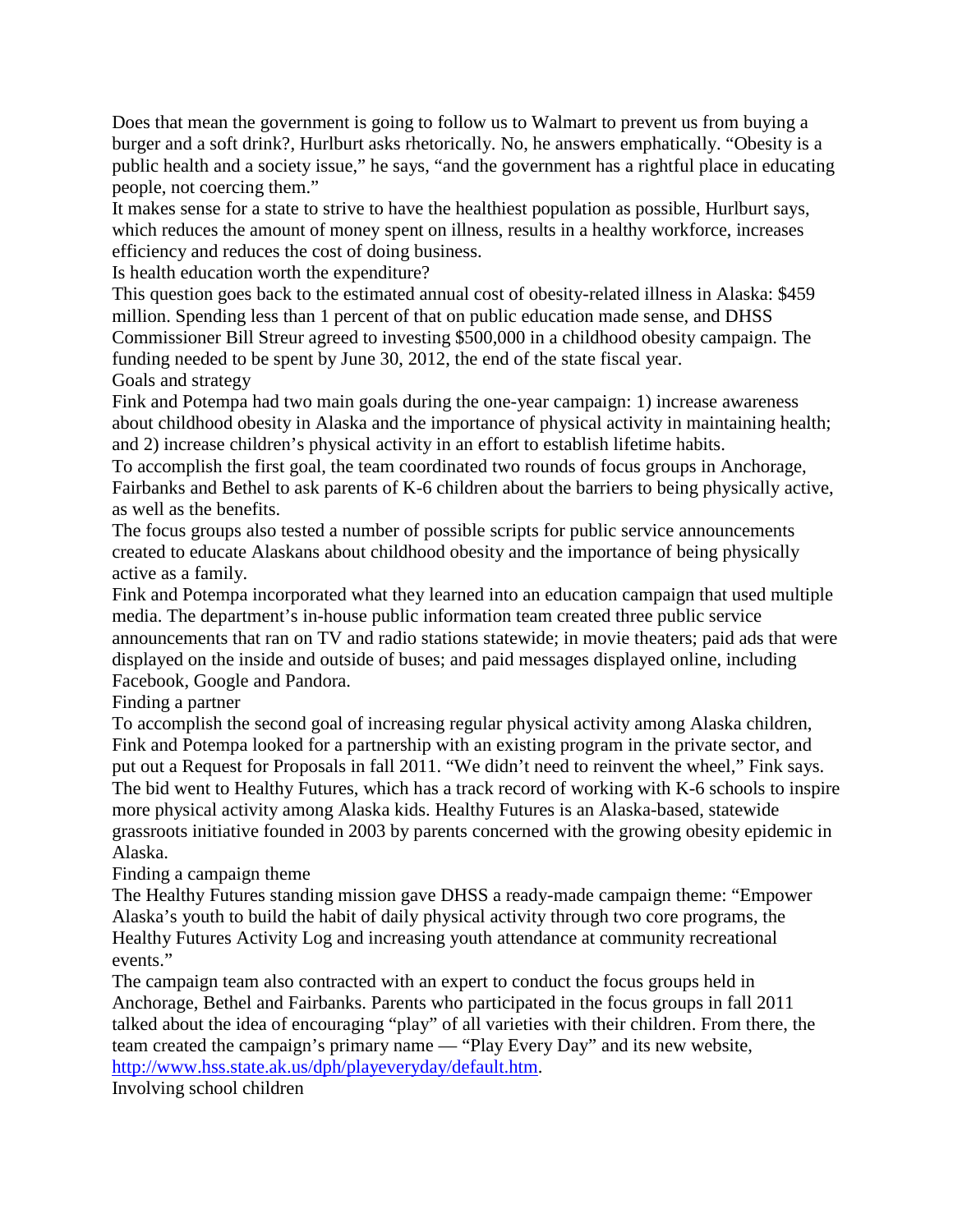Does that mean the government is going to follow us to Walmart to prevent us from buying a burger and a soft drink?, Hurlburt asks rhetorically. No, he answers emphatically. "Obesity is a public health and a society issue," he says, "and the government has a rightful place in educating people, not coercing them."

It makes sense for a state to strive to have the healthiest population as possible, Hurlburt says, which reduces the amount of money spent on illness, results in a healthy workforce, increases efficiency and reduces the cost of doing business.

Is health education worth the expenditure?

This question goes back to the estimated annual cost of obesity-related illness in Alaska: \$459 million. Spending less than 1 percent of that on public education made sense, and DHSS Commissioner Bill Streur agreed to investing \$500,000 in a childhood obesity campaign. The funding needed to be spent by June 30, 2012, the end of the state fiscal year. Goals and strategy

Fink and Potempa had two main goals during the one-year campaign: 1) increase awareness about childhood obesity in Alaska and the importance of physical activity in maintaining health; and 2) increase children's physical activity in an effort to establish lifetime habits.

To accomplish the first goal, the team coordinated two rounds of focus groups in Anchorage, Fairbanks and Bethel to ask parents of K-6 children about the barriers to being physically active, as well as the benefits.

The focus groups also tested a number of possible scripts for public service announcements created to educate Alaskans about childhood obesity and the importance of being physically active as a family.

Fink and Potempa incorporated what they learned into an education campaign that used multiple media. The department's in-house public information team created three public service announcements that ran on TV and radio stations statewide; in movie theaters; paid ads that were displayed on the inside and outside of buses; and paid messages displayed online, including Facebook, Google and Pandora.

Finding a partner

To accomplish the second goal of increasing regular physical activity among Alaska children, Fink and Potempa looked for a partnership with an existing program in the private sector, and put out a Request for Proposals in fall 2011. "We didn't need to reinvent the wheel," Fink says. The bid went to Healthy Futures, which has a track record of working with K-6 schools to inspire more physical activity among Alaska kids. Healthy Futures is an Alaska-based, statewide grassroots initiative founded in 2003 by parents concerned with the growing obesity epidemic in Alaska.

Finding a campaign theme

The Healthy Futures standing mission gave DHSS a ready-made campaign theme: "Empower Alaska's youth to build the habit of daily physical activity through two core programs, the Healthy Futures Activity Log and increasing youth attendance at community recreational events."

The campaign team also contracted with an expert to conduct the focus groups held in Anchorage, Bethel and Fairbanks. Parents who participated in the focus groups in fall 2011 talked about the idea of encouraging "play" of all varieties with their children. From there, the team created the campaign's primary name — "Play Every Day" and its new website, [http://www.hss.state.ak.us/dph/playeveryday/default.htm.](http://www.hss.state.ak.us/dph/playeveryday/default.htm)

Involving school children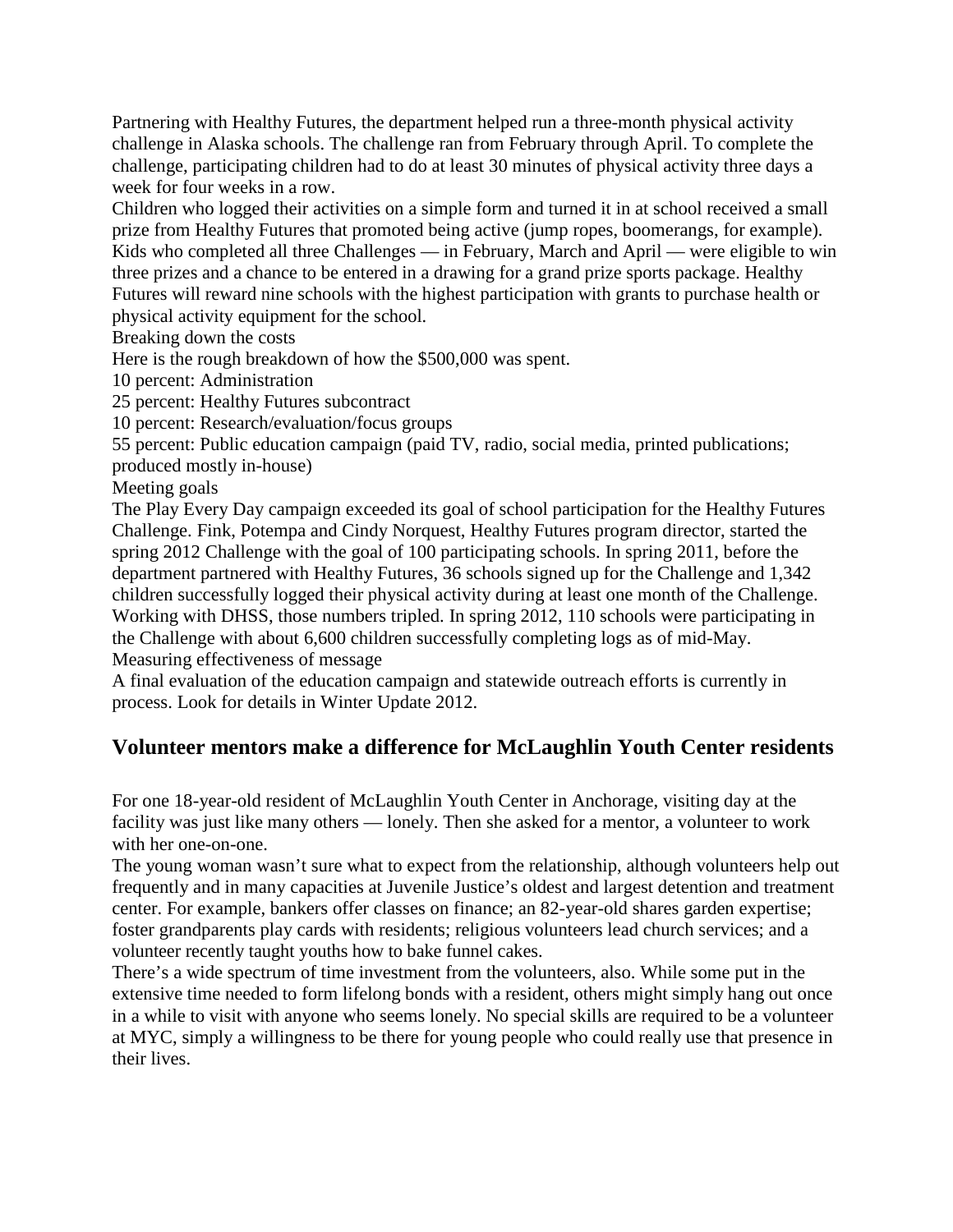Partnering with Healthy Futures, the department helped run a three-month physical activity challenge in Alaska schools. The challenge ran from February through April. To complete the challenge, participating children had to do at least 30 minutes of physical activity three days a week for four weeks in a row.

Children who logged their activities on a simple form and turned it in at school received a small prize from Healthy Futures that promoted being active (jump ropes, boomerangs, for example). Kids who completed all three Challenges — in February, March and April — were eligible to win three prizes and a chance to be entered in a drawing for a grand prize sports package. Healthy Futures will reward nine schools with the highest participation with grants to purchase health or physical activity equipment for the school.

Breaking down the costs

Here is the rough breakdown of how the \$500,000 was spent.

10 percent: Administration

25 percent: Healthy Futures subcontract

10 percent: Research/evaluation/focus groups

55 percent: Public education campaign (paid TV, radio, social media, printed publications;

produced mostly in-house)

Meeting goals

The Play Every Day campaign exceeded its goal of school participation for the Healthy Futures Challenge. Fink, Potempa and Cindy Norquest, Healthy Futures program director, started the spring 2012 Challenge with the goal of 100 participating schools. In spring 2011, before the department partnered with Healthy Futures, 36 schools signed up for the Challenge and 1,342 children successfully logged their physical activity during at least one month of the Challenge. Working with DHSS, those numbers tripled. In spring 2012, 110 schools were participating in the Challenge with about 6,600 children successfully completing logs as of mid-May. Measuring effectiveness of message

A final evaluation of the education campaign and statewide outreach efforts is currently in process. Look for details in Winter Update 2012.

## **Volunteer mentors make a difference for McLaughlin Youth Center residents**

For one 18-year-old resident of McLaughlin Youth Center in Anchorage, visiting day at the facility was just like many others — lonely. Then she asked for a mentor, a volunteer to work with her one-on-one.

The young woman wasn't sure what to expect from the relationship, although volunteers help out frequently and in many capacities at Juvenile Justice's oldest and largest detention and treatment center. For example, bankers offer classes on finance; an 82-year-old shares garden expertise; foster grandparents play cards with residents; religious volunteers lead church services; and a volunteer recently taught youths how to bake funnel cakes.

There's a wide spectrum of time investment from the volunteers, also. While some put in the extensive time needed to form lifelong bonds with a resident, others might simply hang out once in a while to visit with anyone who seems lonely. No special skills are required to be a volunteer at MYC, simply a willingness to be there for young people who could really use that presence in their lives.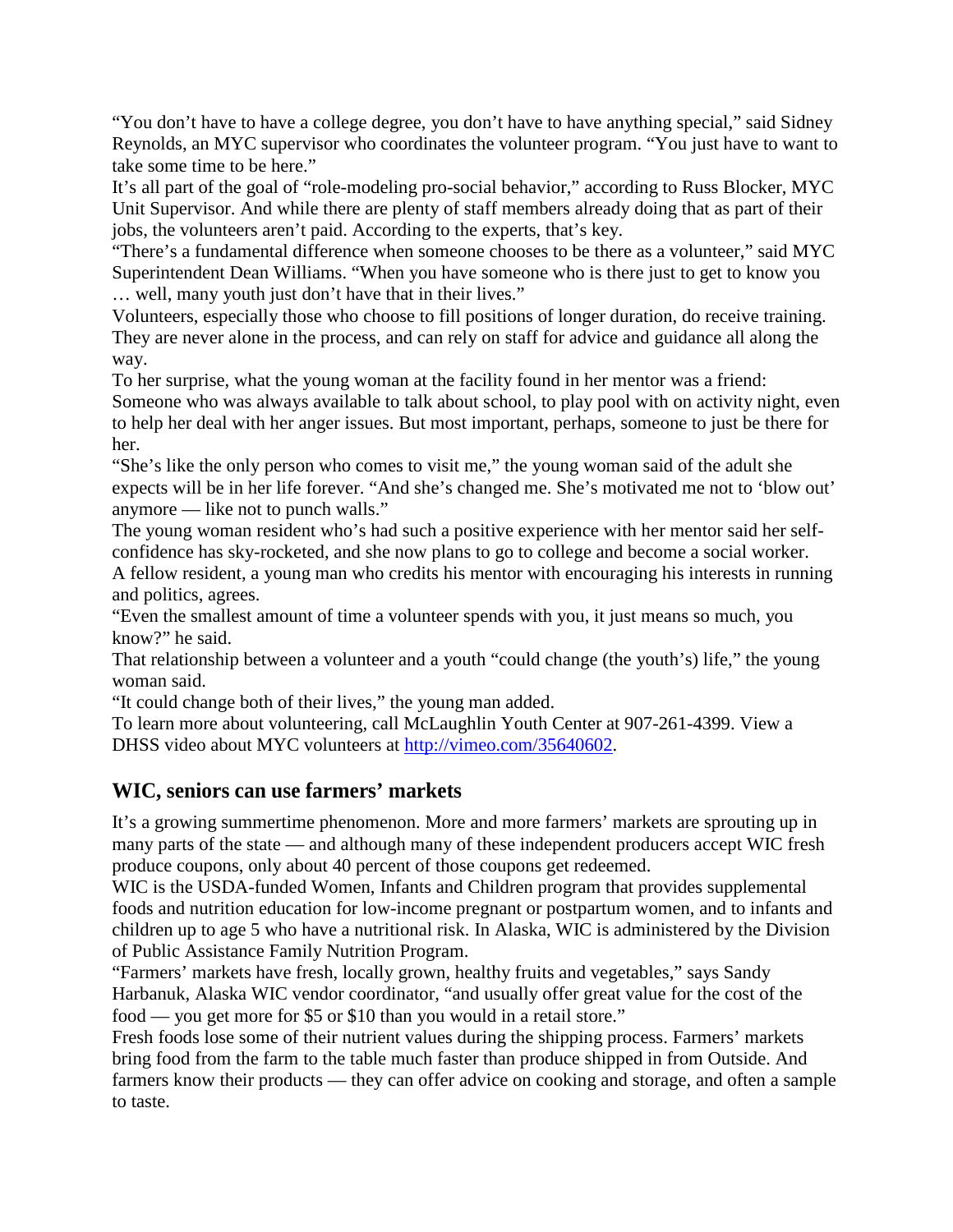"You don't have to have a college degree, you don't have to have anything special," said Sidney Reynolds, an MYC supervisor who coordinates the volunteer program. "You just have to want to take some time to be here."

It's all part of the goal of "role-modeling pro-social behavior," according to Russ Blocker, MYC Unit Supervisor. And while there are plenty of staff members already doing that as part of their jobs, the volunteers aren't paid. According to the experts, that's key.

"There's a fundamental difference when someone chooses to be there as a volunteer," said MYC Superintendent Dean Williams. "When you have someone who is there just to get to know you … well, many youth just don't have that in their lives."

Volunteers, especially those who choose to fill positions of longer duration, do receive training. They are never alone in the process, and can rely on staff for advice and guidance all along the way.

To her surprise, what the young woman at the facility found in her mentor was a friend: Someone who was always available to talk about school, to play pool with on activity night, even to help her deal with her anger issues. But most important, perhaps, someone to just be there for her.

"She's like the only person who comes to visit me," the young woman said of the adult she expects will be in her life forever. "And she's changed me. She's motivated me not to 'blow out' anymore — like not to punch walls."

The young woman resident who's had such a positive experience with her mentor said her selfconfidence has sky-rocketed, and she now plans to go to college and become a social worker.

A fellow resident, a young man who credits his mentor with encouraging his interests in running and politics, agrees.

"Even the smallest amount of time a volunteer spends with you, it just means so much, you know?" he said.

That relationship between a volunteer and a youth "could change (the youth's) life," the young woman said.

"It could change both of their lives," the young man added.

To learn more about volunteering, call McLaughlin Youth Center at 907-261-4399. View a DHSS video about MYC volunteers at [http://vimeo.com/35640602.](http://vimeo.com/35640602)

### **WIC, seniors can use farmers' markets**

It's a growing summertime phenomenon. More and more farmers' markets are sprouting up in many parts of the state — and although many of these independent producers accept WIC fresh produce coupons, only about 40 percent of those coupons get redeemed.

WIC is the USDA-funded Women, Infants and Children program that provides supplemental foods and nutrition education for low-income pregnant or postpartum women, and to infants and children up to age 5 who have a nutritional risk. In Alaska, WIC is administered by the Division of Public Assistance Family Nutrition Program.

"Farmers' markets have fresh, locally grown, healthy fruits and vegetables," says Sandy Harbanuk, Alaska WIC vendor coordinator, "and usually offer great value for the cost of the food — you get more for \$5 or \$10 than you would in a retail store."

Fresh foods lose some of their nutrient values during the shipping process. Farmers' markets bring food from the farm to the table much faster than produce shipped in from Outside. And farmers know their products — they can offer advice on cooking and storage, and often a sample to taste.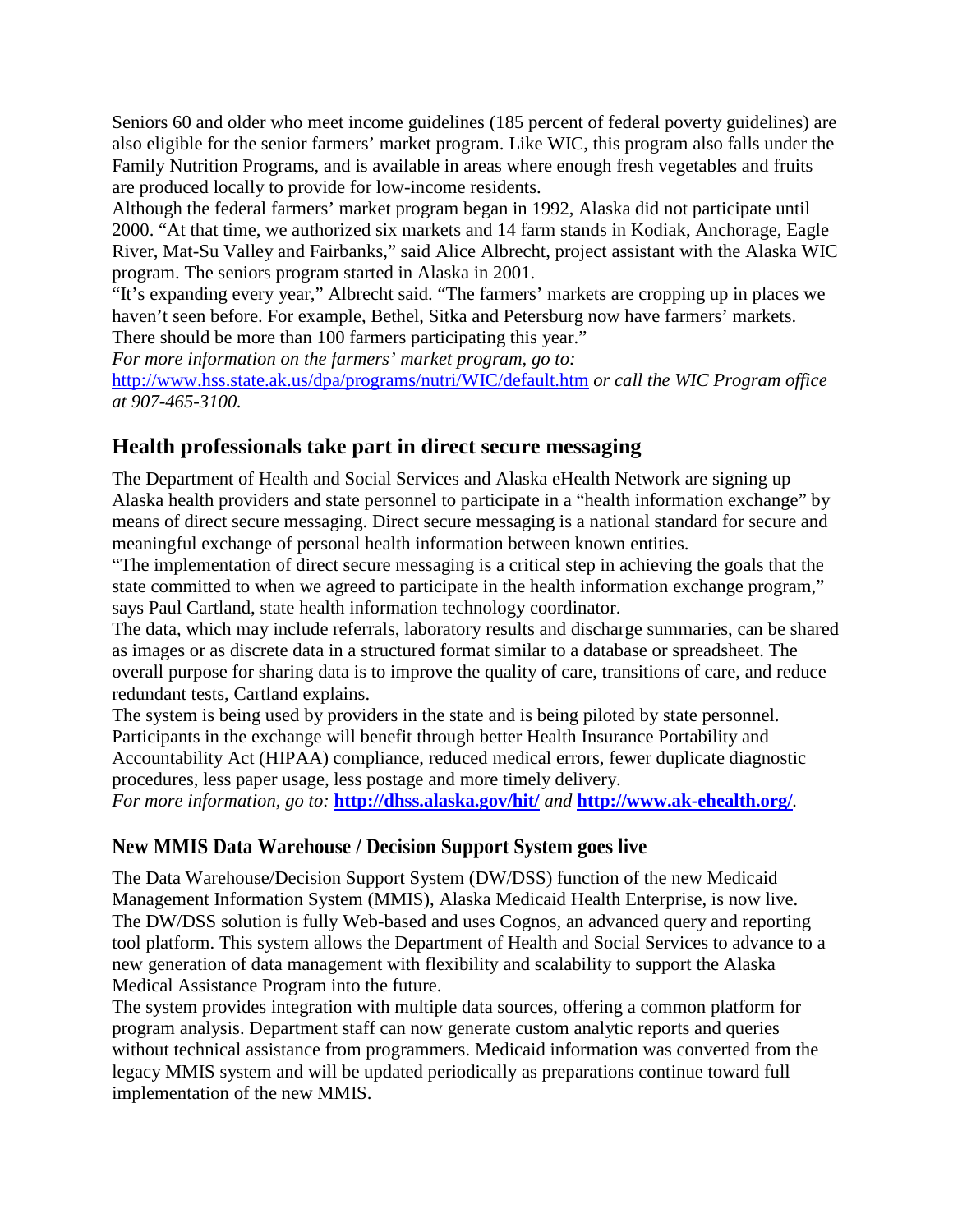Seniors 60 and older who meet income guidelines (185 percent of federal poverty guidelines) are also eligible for the senior farmers' market program. Like WIC, this program also falls under the Family Nutrition Programs, and is available in areas where enough fresh vegetables and fruits are produced locally to provide for low-income residents.

Although the federal farmers' market program began in 1992, Alaska did not participate until 2000. "At that time, we authorized six markets and 14 farm stands in Kodiak, Anchorage, Eagle River, Mat-Su Valley and Fairbanks," said Alice Albrecht, project assistant with the Alaska WIC program. The seniors program started in Alaska in 2001.

"It's expanding every year," Albrecht said. "The farmers' markets are cropping up in places we haven't seen before. For example, Bethel, Sitka and Petersburg now have farmers' markets. There should be more than 100 farmers participating this year."

*For more information on the farmers' market program, go to:*  <http://www.hss.state.ak.us/dpa/programs/nutri/WIC/default.htm> *or call the WIC Program office at 907-465-3100.*

### **Health professionals take part in direct secure messaging**

The Department of Health and Social Services and Alaska eHealth Network are signing up Alaska health providers and state personnel to participate in a "health information exchange" by means of direct secure messaging. Direct secure messaging is a national standard for secure and meaningful exchange of personal health information between known entities.

"The implementation of direct secure messaging is a critical step in achieving the goals that the state committed to when we agreed to participate in the health information exchange program," says Paul Cartland, state health information technology coordinator.

The data, which may include referrals, laboratory results and discharge summaries, can be shared as images or as discrete data in a structured format similar to a database or spreadsheet. The overall purpose for sharing data is to improve the quality of care, transitions of care, and reduce redundant tests, Cartland explains.

The system is being used by providers in the state and is being piloted by state personnel. Participants in the exchange will benefit through better Health Insurance Portability and Accountability Act (HIPAA) compliance, reduced medical errors, fewer duplicate diagnostic procedures, less paper usage, less postage and more timely delivery.

*For more information, go to:* **[http://dhss.alaska.gov/hit/](http://dhss.alaska.gov/hit/Pages/Default.aspx)** *and* **<http://www.ak-ehealth.org/>***.* 

### **New MMIS Data Warehouse / Decision Support System goes live**

The Data Warehouse/Decision Support System (DW/DSS) function of the new Medicaid Management Information System (MMIS), Alaska Medicaid Health Enterprise, is now live. The DW/DSS solution is fully Web-based and uses Cognos, an advanced query and reporting tool platform. This system allows the Department of Health and Social Services to advance to a new generation of data management with flexibility and scalability to support the Alaska Medical Assistance Program into the future.

The system provides integration with multiple data sources, offering a common platform for program analysis. Department staff can now generate custom analytic reports and queries without technical assistance from programmers. Medicaid information was converted from the legacy MMIS system and will be updated periodically as preparations continue toward full implementation of the new MMIS.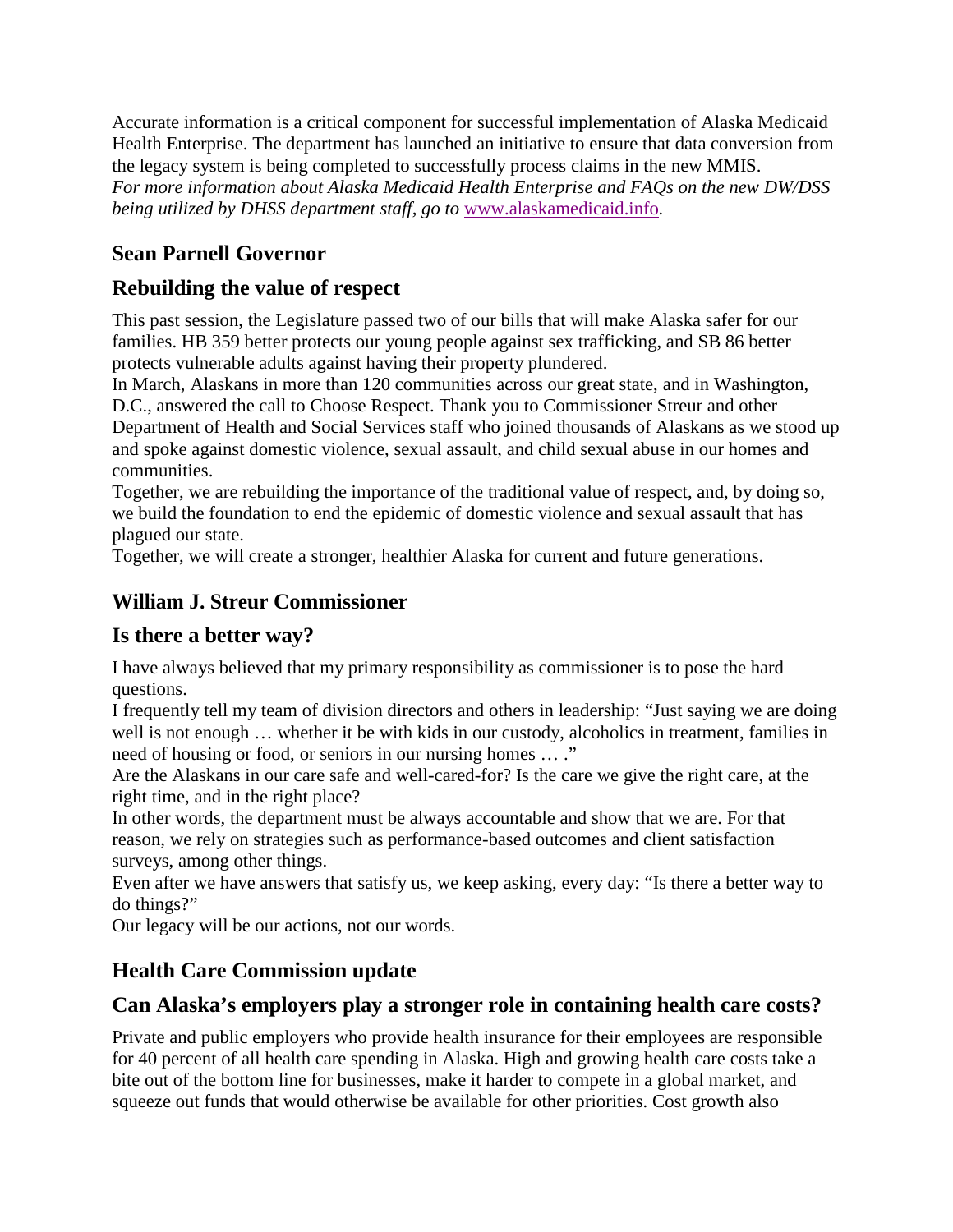Accurate information is a critical component for successful implementation of Alaska Medicaid Health Enterprise. The department has launched an initiative to ensure that data conversion from the legacy system is being completed to successfully process claims in the new MMIS. *For more information about Alaska Medicaid Health Enterprise and FAQs on the new DW/DSS being utilized by DHSS department staff, go to* [www.alaskamedicaid.info](http://www.alaskamedicaid.info/)*.*

## **Sean Parnell Governor**

## **Rebuilding the value of respect**

This past session, the Legislature passed two of our bills that will make Alaska safer for our families. HB 359 better protects our young people against sex trafficking, and SB 86 better protects vulnerable adults against having their property plundered.

In March, Alaskans in more than 120 communities across our great state, and in Washington, D.C., answered the call to Choose Respect. Thank you to Commissioner Streur and other Department of Health and Social Services staff who joined thousands of Alaskans as we stood up and spoke against domestic violence, sexual assault, and child sexual abuse in our homes and communities.

Together, we are rebuilding the importance of the traditional value of respect, and, by doing so, we build the foundation to end the epidemic of domestic violence and sexual assault that has plagued our state.

Together, we will create a stronger, healthier Alaska for current and future generations.

## **William J. Streur Commissioner**

## **Is there a better way?**

I have always believed that my primary responsibility as commissioner is to pose the hard questions.

I frequently tell my team of division directors and others in leadership: "Just saying we are doing well is not enough … whether it be with kids in our custody, alcoholics in treatment, families in need of housing or food, or seniors in our nursing homes … ."

Are the Alaskans in our care safe and well-cared-for? Is the care we give the right care, at the right time, and in the right place?

In other words, the department must be always accountable and show that we are. For that reason, we rely on strategies such as performance-based outcomes and client satisfaction surveys, among other things.

Even after we have answers that satisfy us, we keep asking, every day: "Is there a better way to do things?"

Our legacy will be our actions, not our words.

## **Health Care Commission update**

## **Can Alaska's employers play a stronger role in containing health care costs?**

Private and public employers who provide health insurance for their employees are responsible for 40 percent of all health care spending in Alaska. High and growing health care costs take a bite out of the bottom line for businesses, make it harder to compete in a global market, and squeeze out funds that would otherwise be available for other priorities. Cost growth also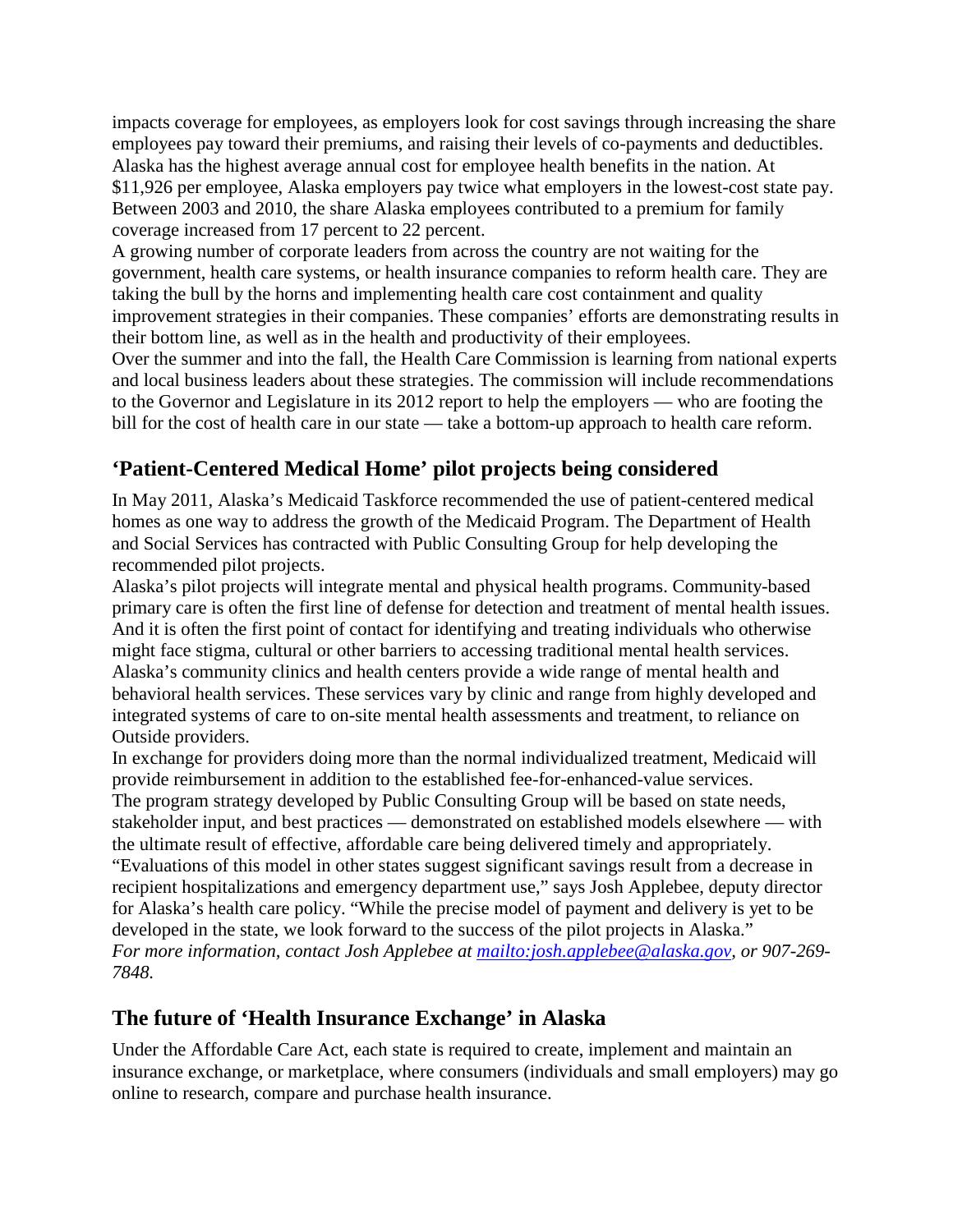impacts coverage for employees, as employers look for cost savings through increasing the share employees pay toward their premiums, and raising their levels of co-payments and deductibles. Alaska has the highest average annual cost for employee health benefits in the nation. At \$11,926 per employee, Alaska employers pay twice what employers in the lowest-cost state pay. Between 2003 and 2010, the share Alaska employees contributed to a premium for family coverage increased from 17 percent to 22 percent.

A growing number of corporate leaders from across the country are not waiting for the government, health care systems, or health insurance companies to reform health care. They are taking the bull by the horns and implementing health care cost containment and quality improvement strategies in their companies. These companies' efforts are demonstrating results in their bottom line, as well as in the health and productivity of their employees.

Over the summer and into the fall, the Health Care Commission is learning from national experts and local business leaders about these strategies. The commission will include recommendations to the Governor and Legislature in its 2012 report to help the employers — who are footing the bill for the cost of health care in our state — take a bottom-up approach to health care reform.

## **'Patient-Centered Medical Home' pilot projects being considered**

In May 2011, Alaska's Medicaid Taskforce recommended the use of patient-centered medical homes as one way to address the growth of the Medicaid Program. The Department of Health and Social Services has contracted with Public Consulting Group for help developing the recommended pilot projects.

Alaska's pilot projects will integrate mental and physical health programs. Community-based primary care is often the first line of defense for detection and treatment of mental health issues. And it is often the first point of contact for identifying and treating individuals who otherwise might face stigma, cultural or other barriers to accessing traditional mental health services. Alaska's community clinics and health centers provide a wide range of mental health and behavioral health services. These services vary by clinic and range from highly developed and integrated systems of care to on-site mental health assessments and treatment, to reliance on Outside providers.

In exchange for providers doing more than the normal individualized treatment, Medicaid will provide reimbursement in addition to the established fee-for-enhanced-value services.

The program strategy developed by Public Consulting Group will be based on state needs, stakeholder input, and best practices — demonstrated on established models elsewhere — with the ultimate result of effective, affordable care being delivered timely and appropriately. "Evaluations of this model in other states suggest significant savings result from a decrease in

recipient hospitalizations and emergency department use," says Josh Applebee, deputy director for Alaska's health care policy. "While the precise model of payment and delivery is yet to be developed in the state, we look forward to the success of the pilot projects in Alaska." *For more information, contact Josh Applebee at [mailto:josh.applebee@alaska.gov,](mailto:josh.applebee@alaska.gov) or 907-269-*

*7848.*

## **The future of 'Health Insurance Exchange' in Alaska**

Under the Affordable Care Act, each state is required to create, implement and maintain an insurance exchange, or marketplace, where consumers (individuals and small employers) may go online to research, compare and purchase health insurance.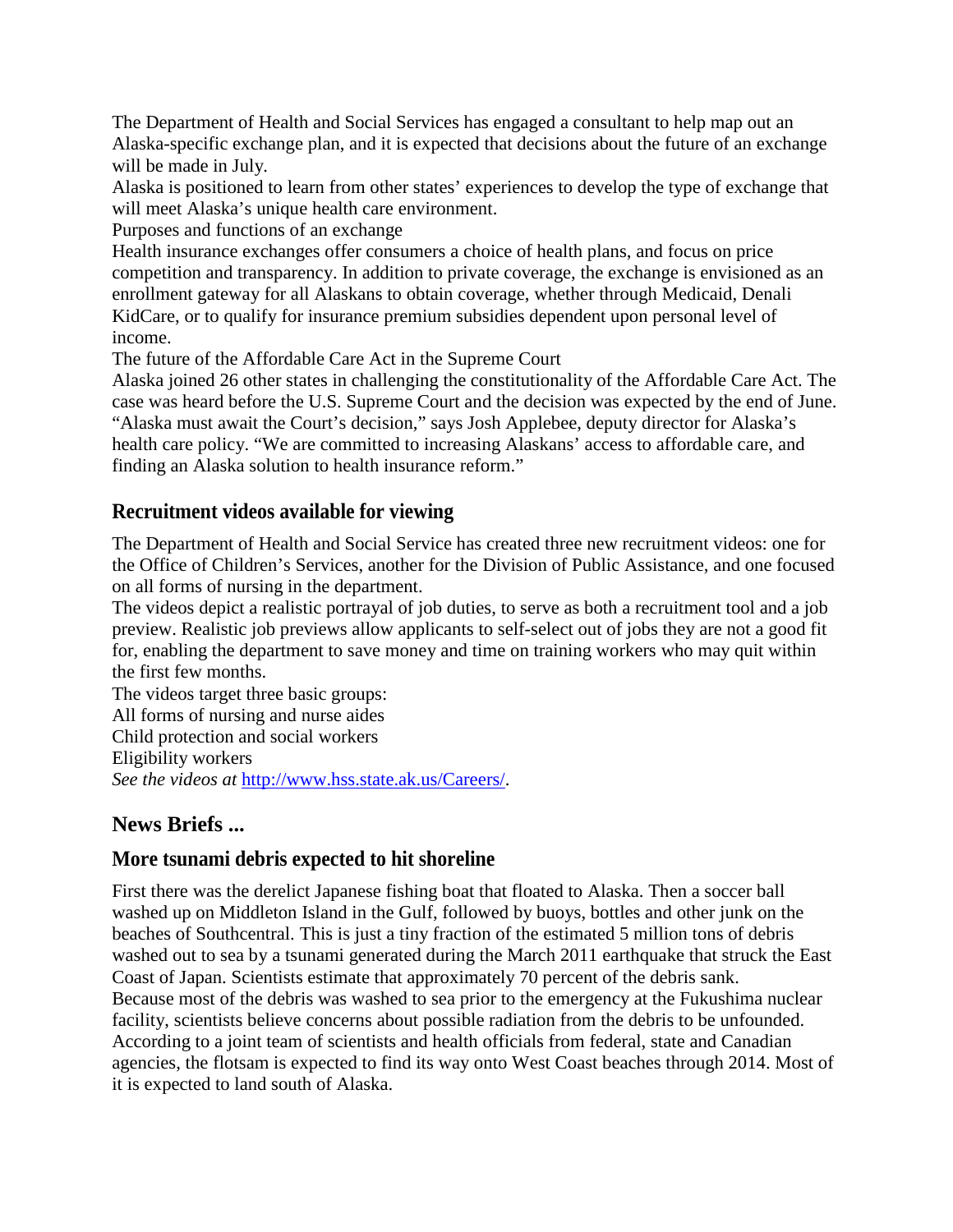The Department of Health and Social Services has engaged a consultant to help map out an Alaska-specific exchange plan, and it is expected that decisions about the future of an exchange will be made in July.

Alaska is positioned to learn from other states' experiences to develop the type of exchange that will meet Alaska's unique health care environment.

Purposes and functions of an exchange

Health insurance exchanges offer consumers a choice of health plans, and focus on price competition and transparency. In addition to private coverage, the exchange is envisioned as an enrollment gateway for all Alaskans to obtain coverage, whether through Medicaid, Denali KidCare, or to qualify for insurance premium subsidies dependent upon personal level of income.

The future of the Affordable Care Act in the Supreme Court

Alaska joined 26 other states in challenging the constitutionality of the Affordable Care Act. The case was heard before the U.S. Supreme Court and the decision was expected by the end of June. "Alaska must await the Court's decision," says Josh Applebee, deputy director for Alaska's health care policy. "We are committed to increasing Alaskans' access to affordable care, and finding an Alaska solution to health insurance reform."

### **Recruitment videos available for viewing**

The Department of Health and Social Service has created three new recruitment videos: one for the Office of Children's Services, another for the Division of Public Assistance, and one focused on all forms of nursing in the department.

The videos depict a realistic portrayal of job duties, to serve as both a recruitment tool and a job preview. Realistic job previews allow applicants to self-select out of jobs they are not a good fit for, enabling the department to save money and time on training workers who may quit within the first few months.

The videos target three basic groups: All forms of nursing and nurse aides Child protection and social workers Eligibility workers *See the videos at* [http://www.hss.state.ak.us/Careers/.](http://www.hss.state.ak.us/Careers/)

### **News Briefs ...**

### **More tsunami debris expected to hit shoreline**

First there was the derelict Japanese fishing boat that floated to Alaska. Then a soccer ball washed up on Middleton Island in the Gulf, followed by buoys, bottles and other junk on the beaches of Southcentral. This is just a tiny fraction of the estimated 5 million tons of debris washed out to sea by a tsunami generated during the March 2011 earthquake that struck the East Coast of Japan. Scientists estimate that approximately 70 percent of the debris sank. Because most of the debris was washed to sea prior to the emergency at the Fukushima nuclear facility, scientists believe concerns about possible radiation from the debris to be unfounded. According to a joint team of scientists and health officials from federal, state and Canadian agencies, the flotsam is expected to find its way onto West Coast beaches through 2014. Most of it is expected to land south of Alaska.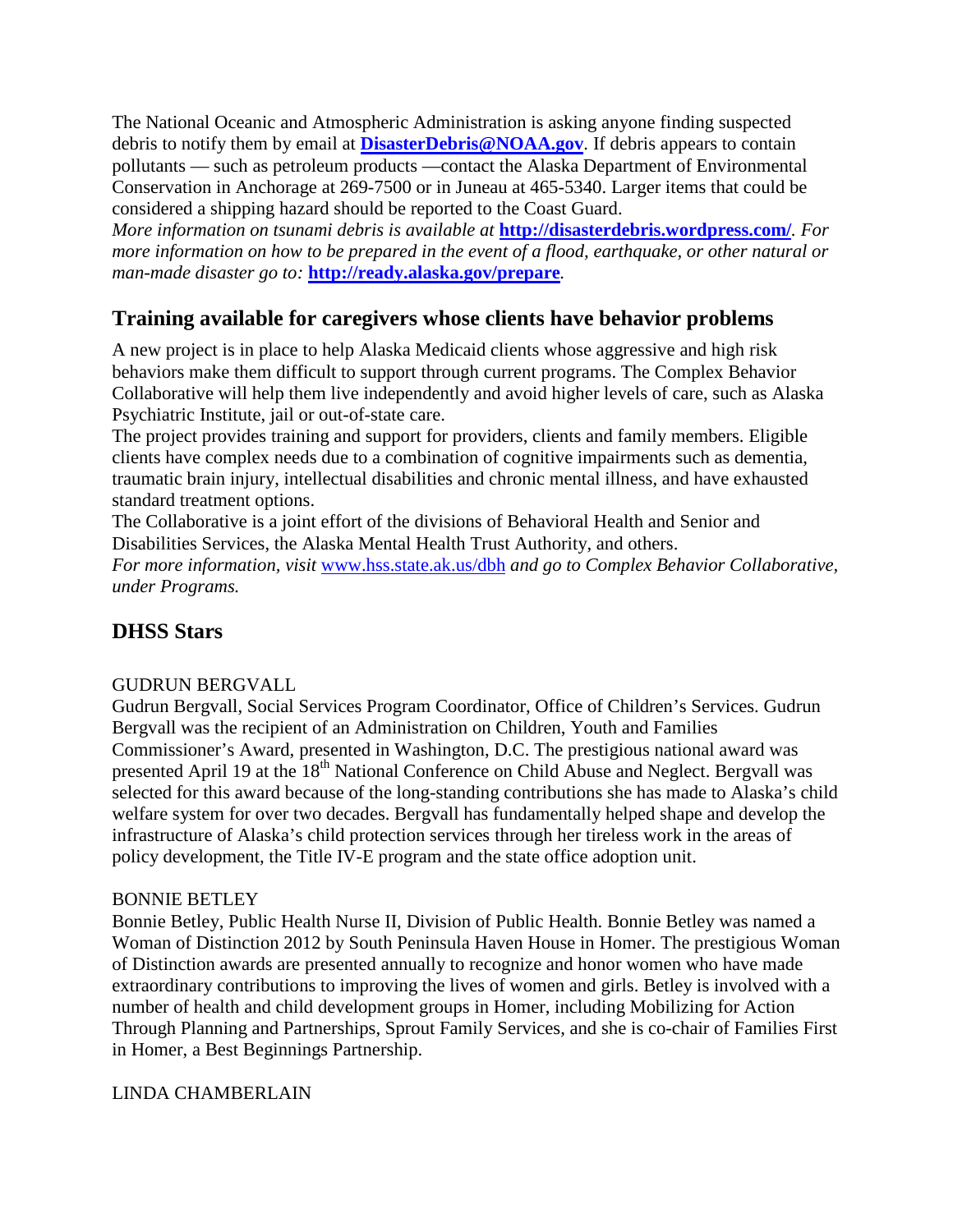The National Oceanic and Atmospheric Administration is asking anyone finding suspected debris to notify them by email at **[DisasterDebris@NOAA.gov](mailto:DisasterDebris@NOAA.gov)**. If debris appears to contain pollutants — such as petroleum products —contact the Alaska Department of Environmental Conservation in Anchorage at 269-7500 or in Juneau at 465-5340. Larger items that could be considered a shipping hazard should be reported to the Coast Guard.

*More information on tsunami debris is available at* **<http://disasterdebris.wordpress.com/>***. For more information on how to be prepared in the event of a flood, earthquake, or other natural or man-made disaster go to:* **<http://ready.alaska.gov/prepare>***.*

## **Training available for caregivers whose clients have behavior problems**

A new project is in place to help Alaska Medicaid clients whose aggressive and high risk behaviors make them difficult to support through current programs. The Complex Behavior Collaborative will help them live independently and avoid higher levels of care, such as Alaska Psychiatric Institute, jail or out-of-state care.

The project provides training and support for providers, clients and family members. Eligible clients have complex needs due to a combination of cognitive impairments such as dementia, traumatic brain injury, intellectual disabilities and chronic mental illness, and have exhausted standard treatment options.

The Collaborative is a joint effort of the divisions of Behavioral Health and Senior and Disabilities Services, the Alaska Mental Health Trust Authority, and others. *For more information, visit* [www.hss.state.ak.us/dbh](http://www.hss.state.ak.us/dbh) *and go to Complex Behavior Collaborative, under Programs.*

## **DHSS Stars**

### GUDRUN BERGVALL

Gudrun Bergvall, Social Services Program Coordinator, Office of Children's Services. Gudrun Bergvall was the recipient of an Administration on Children, Youth and Families Commissioner's Award, presented in Washington, D.C. The prestigious national award was presented April 19 at the 18<sup>th</sup> National Conference on Child Abuse and Neglect. Bergvall was selected for this award because of the long-standing contributions she has made to Alaska's child welfare system for over two decades. Bergvall has fundamentally helped shape and develop the infrastructure of Alaska's child protection services through her tireless work in the areas of policy development, the Title IV-E program and the state office adoption unit.

#### BONNIE BETLEY

Bonnie Betley, Public Health Nurse II, Division of Public Health. Bonnie Betley was named a Woman of Distinction 2012 by South Peninsula Haven House in Homer. The prestigious Woman of Distinction awards are presented annually to recognize and honor women who have made extraordinary contributions to improving the lives of women and girls. Betley is involved with a number of health and child development groups in Homer, including Mobilizing for Action Through Planning and Partnerships, Sprout Family Services, and she is co-chair of Families First in Homer, a Best Beginnings Partnership.

#### LINDA CHAMBERLAIN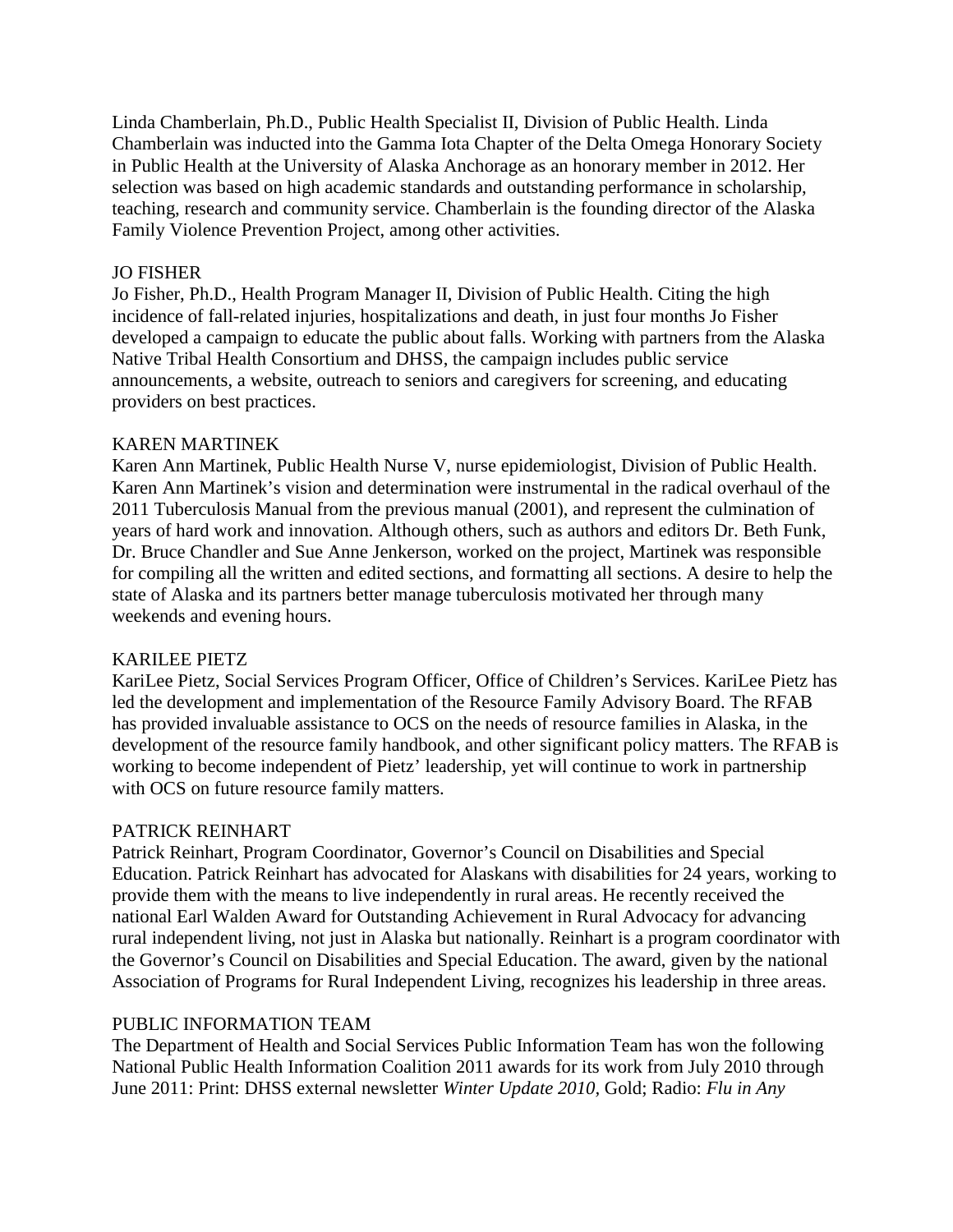Linda Chamberlain, Ph.D., Public Health Specialist II, Division of Public Health. Linda Chamberlain was inducted into the Gamma Iota Chapter of the Delta Omega Honorary Society in Public Health at the University of Alaska Anchorage as an honorary member in 2012. Her selection was based on high academic standards and outstanding performance in scholarship, teaching, research and community service. Chamberlain is the founding director of the Alaska Family Violence Prevention Project, among other activities.

#### JO FISHER

Jo Fisher, Ph.D., Health Program Manager II, Division of Public Health. Citing the high incidence of fall-related injuries, hospitalizations and death, in just four months Jo Fisher developed a campaign to educate the public about falls. Working with partners from the Alaska Native Tribal Health Consortium and DHSS, the campaign includes public service announcements, a website, outreach to seniors and caregivers for screening, and educating providers on best practices.

#### KAREN MARTINEK

Karen Ann Martinek, Public Health Nurse V, nurse epidemiologist, Division of Public Health. Karen Ann Martinek's vision and determination were instrumental in the radical overhaul of the 2011 Tuberculosis Manual from the previous manual (2001), and represent the culmination of years of hard work and innovation. Although others, such as authors and editors Dr. Beth Funk, Dr. Bruce Chandler and Sue Anne Jenkerson, worked on the project, Martinek was responsible for compiling all the written and edited sections, and formatting all sections. A desire to help the state of Alaska and its partners better manage tuberculosis motivated her through many weekends and evening hours.

#### KARILEE PIETZ

KariLee Pietz, Social Services Program Officer, Office of Children's Services. KariLee Pietz has led the development and implementation of the Resource Family Advisory Board. The RFAB has provided invaluable assistance to OCS on the needs of resource families in Alaska, in the development of the resource family handbook, and other significant policy matters. The RFAB is working to become independent of Pietz' leadership, yet will continue to work in partnership with OCS on future resource family matters.

#### PATRICK REINHART

Patrick Reinhart, Program Coordinator, Governor's Council on Disabilities and Special Education. Patrick Reinhart has advocated for Alaskans with disabilities for 24 years, working to provide them with the means to live independently in rural areas. He recently received the national Earl Walden Award for Outstanding Achievement in Rural Advocacy for advancing rural independent living, not just in Alaska but nationally. Reinhart is a program coordinator with the Governor's Council on Disabilities and Special Education. The award, given by the national Association of Programs for Rural Independent Living, recognizes his leadership in three areas.

#### PUBLIC INFORMATION TEAM

The Department of Health and Social Services Public Information Team has won the following National Public Health Information Coalition 2011 awards for its work from July 2010 through June 2011: Print: DHSS external newsletter *Winter Update 2010,* Gold; Radio: *Flu in Any*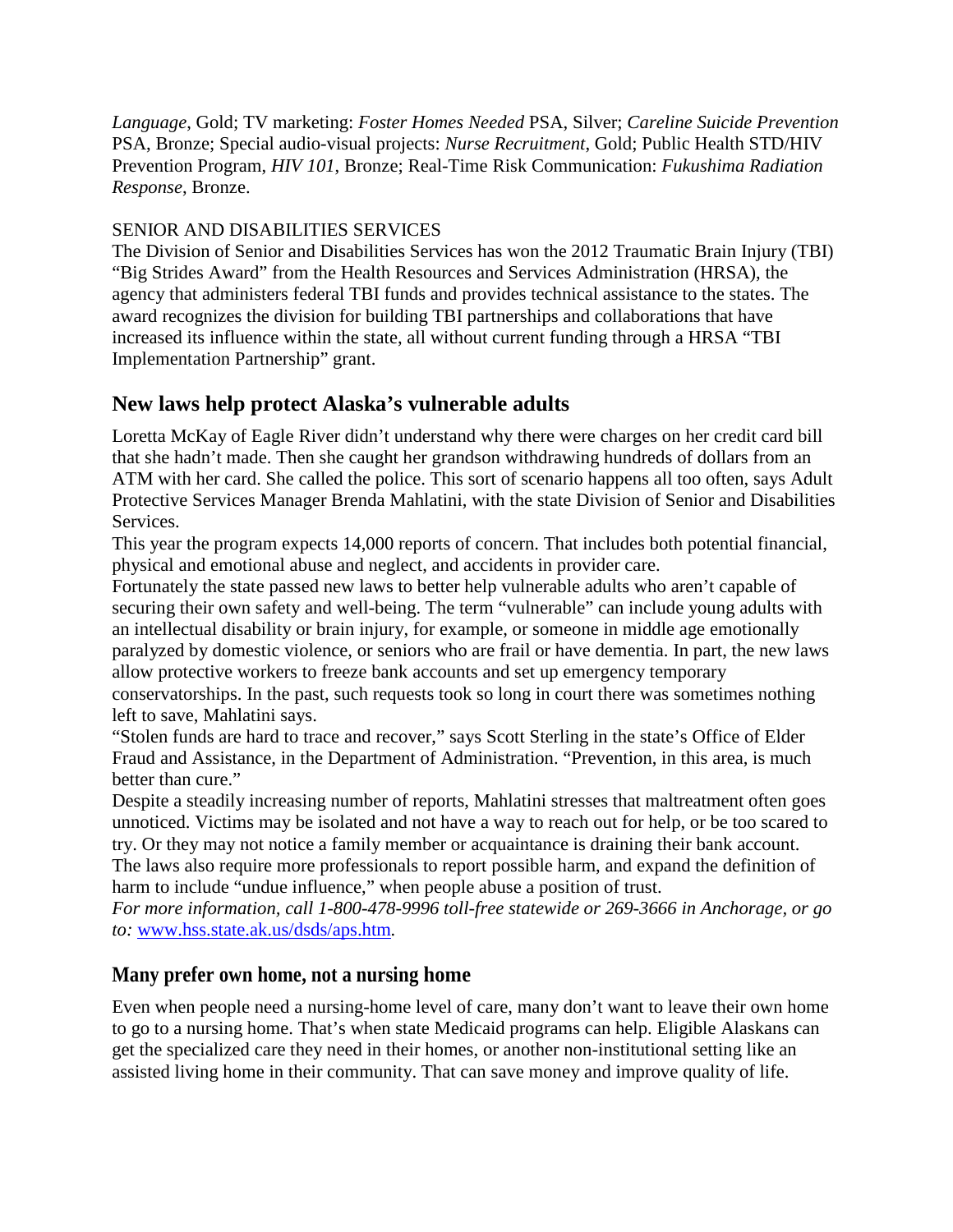*Language*, Gold; TV marketing: *Foster Homes Needed* PSA, Silver; *Careline Suicide Prevention* PSA, Bronze; Special audio-visual projects: *Nurse Recruitment*, Gold; Public Health STD/HIV Prevention Program, *HIV 101*, Bronze; Real-Time Risk Communication: *Fukushima Radiation Response*, Bronze.

### SENIOR AND DISABILITIES SERVICES

The Division of Senior and Disabilities Services has won the 2012 Traumatic Brain Injury (TBI) "Big Strides Award" from the Health Resources and Services Administration (HRSA), the agency that administers federal TBI funds and provides technical assistance to the states. The award recognizes the division for building TBI partnerships and collaborations that have increased its influence within the state, all without current funding through a HRSA "TBI Implementation Partnership" grant.

### **New laws help protect Alaska's vulnerable adults**

Loretta McKay of Eagle River didn't understand why there were charges on her credit card bill that she hadn't made. Then she caught her grandson withdrawing hundreds of dollars from an ATM with her card. She called the police. This sort of scenario happens all too often, says Adult Protective Services Manager Brenda Mahlatini, with the state Division of Senior and Disabilities Services.

This year the program expects 14,000 reports of concern. That includes both potential financial, physical and emotional abuse and neglect, and accidents in provider care.

Fortunately the state passed new laws to better help vulnerable adults who aren't capable of securing their own safety and well-being. The term "vulnerable" can include young adults with an intellectual disability or brain injury, for example, or someone in middle age emotionally paralyzed by domestic violence, or seniors who are frail or have dementia. In part, the new laws allow protective workers to freeze bank accounts and set up emergency temporary

conservatorships. In the past, such requests took so long in court there was sometimes nothing left to save, Mahlatini says.

"Stolen funds are hard to trace and recover," says Scott Sterling in the state's Office of Elder Fraud and Assistance, in the Department of Administration. "Prevention, in this area, is much better than cure."

Despite a steadily increasing number of reports, Mahlatini stresses that maltreatment often goes unnoticed. Victims may be isolated and not have a way to reach out for help, or be too scared to try. Or they may not notice a family member or acquaintance is draining their bank account. The laws also require more professionals to report possible harm, and expand the definition of harm to include "undue influence," when people abuse a position of trust.

*For more information, call 1-800-478-9996 toll-free statewide or 269-3666 in Anchorage, or go to:* [www.hss.state.ak.us/dsds/aps.htm](http://www.hss.state.ak.us/dsds/aps.htm)*.*

### **Many prefer own home, not a nursing home**

Even when people need a nursing-home level of care, many don't want to leave their own home to go to a nursing home. That's when state Medicaid programs can help. Eligible Alaskans can get the specialized care they need in their homes, or another non-institutional setting like an assisted living home in their community. That can save money and improve quality of life.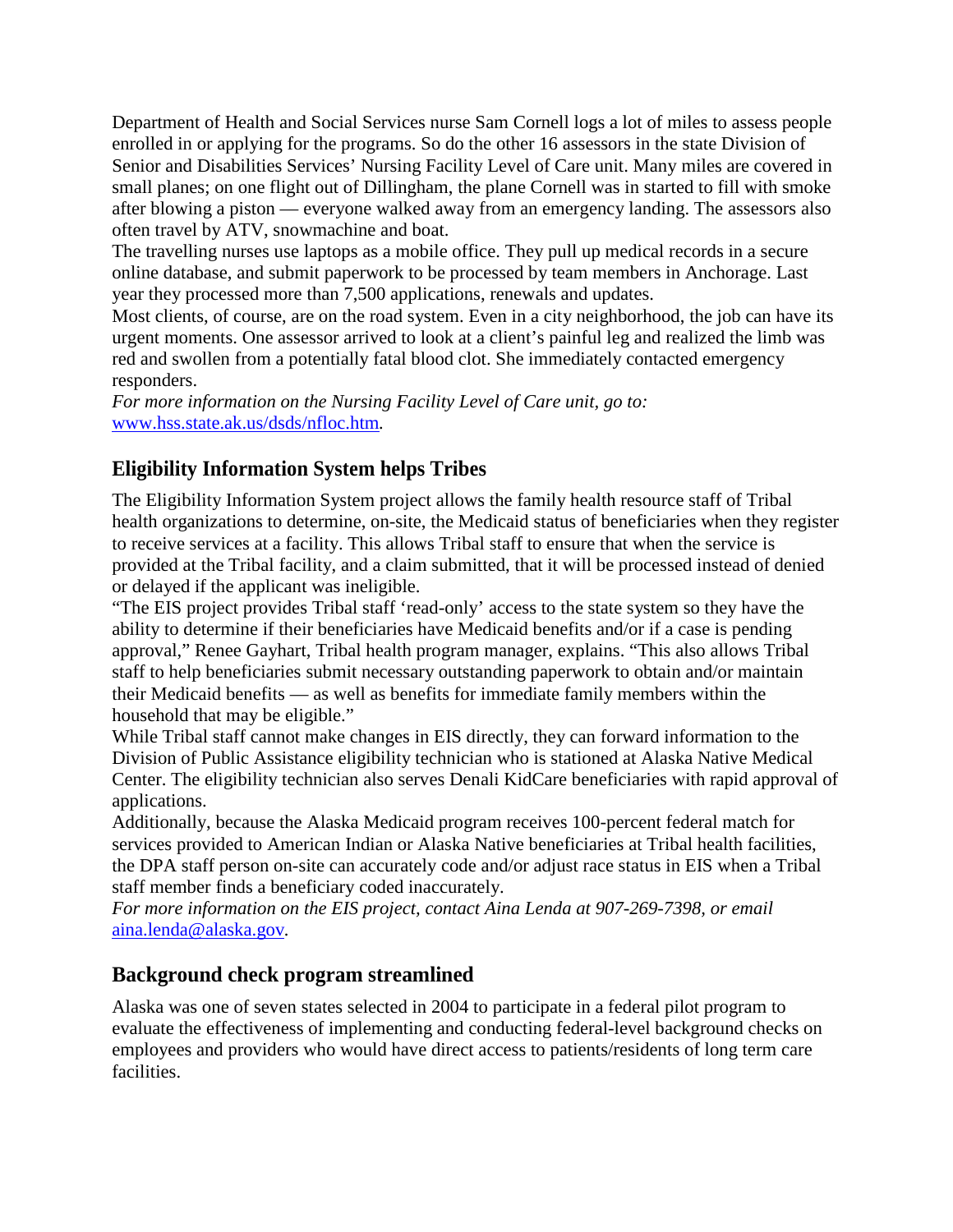Department of Health and Social Services nurse Sam Cornell logs a lot of miles to assess people enrolled in or applying for the programs. So do the other 16 assessors in the state Division of Senior and Disabilities Services' Nursing Facility Level of Care unit. Many miles are covered in small planes; on one flight out of Dillingham, the plane Cornell was in started to fill with smoke after blowing a piston — everyone walked away from an emergency landing. The assessors also often travel by ATV, snowmachine and boat.

The travelling nurses use laptops as a mobile office. They pull up medical records in a secure online database, and submit paperwork to be processed by team members in Anchorage. Last year they processed more than 7,500 applications, renewals and updates.

Most clients, of course, are on the road system. Even in a city neighborhood, the job can have its urgent moments. One assessor arrived to look at a client's painful leg and realized the limb was red and swollen from a potentially fatal blood clot. She immediately contacted emergency responders.

*For more information on the Nursing Facility Level of Care unit, go to:*  [www.hss.state.ak.us/dsds/nfloc.htm](http://www.hss.state.ak.us/dsds/nfloc.htm)*.*

## **Eligibility Information System helps Tribes**

The Eligibility Information System project allows the family health resource staff of Tribal health organizations to determine, on-site, the Medicaid status of beneficiaries when they register to receive services at a facility. This allows Tribal staff to ensure that when the service is provided at the Tribal facility, and a claim submitted, that it will be processed instead of denied or delayed if the applicant was ineligible.

"The EIS project provides Tribal staff 'read-only' access to the state system so they have the ability to determine if their beneficiaries have Medicaid benefits and/or if a case is pending approval," Renee Gayhart, Tribal health program manager, explains. "This also allows Tribal staff to help beneficiaries submit necessary outstanding paperwork to obtain and/or maintain their Medicaid benefits — as well as benefits for immediate family members within the household that may be eligible."

While Tribal staff cannot make changes in EIS directly, they can forward information to the Division of Public Assistance eligibility technician who is stationed at Alaska Native Medical Center. The eligibility technician also serves Denali KidCare beneficiaries with rapid approval of applications.

Additionally, because the Alaska Medicaid program receives 100-percent federal match for services provided to American Indian or Alaska Native beneficiaries at Tribal health facilities, the DPA staff person on-site can accurately code and/or adjust race status in EIS when a Tribal staff member finds a beneficiary coded inaccurately.

*For more information on the EIS project, contact Aina Lenda at 907-269-7398, or email*  [aina.lenda@alaska.gov](mailto:aina.lenda@alaska.gov)*.*

### **Background check program streamlined**

Alaska was one of seven states selected in 2004 to participate in a federal pilot program to evaluate the effectiveness of implementing and conducting federal-level background checks on employees and providers who would have direct access to patients/residents of long term care facilities.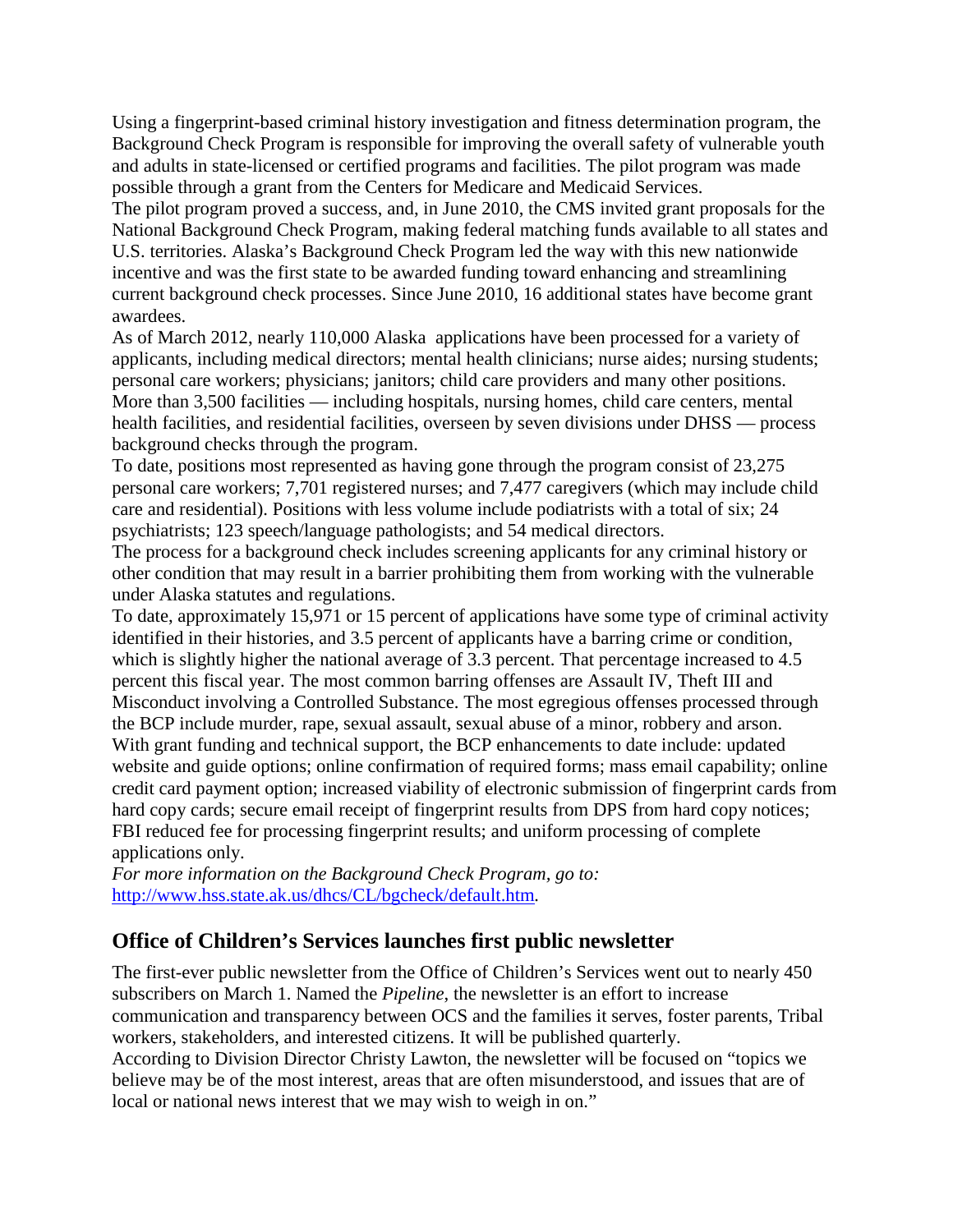Using a fingerprint-based criminal history investigation and fitness determination program, the Background Check Program is responsible for improving the overall safety of vulnerable youth and adults in state-licensed or certified programs and facilities. The pilot program was made possible through a grant from the Centers for Medicare and Medicaid Services.

The pilot program proved a success, and, in June 2010, the CMS invited grant proposals for the National Background Check Program, making federal matching funds available to all states and U.S. territories. Alaska's Background Check Program led the way with this new nationwide incentive and was the first state to be awarded funding toward enhancing and streamlining current background check processes. Since June 2010, 16 additional states have become grant awardees.

As of March 2012, nearly 110,000 Alaska applications have been processed for a variety of applicants, including medical directors; mental health clinicians; nurse aides; nursing students; personal care workers; physicians; janitors; child care providers and many other positions. More than 3,500 facilities — including hospitals, nursing homes, child care centers, mental health facilities, and residential facilities, overseen by seven divisions under DHSS — process background checks through the program.

To date, positions most represented as having gone through the program consist of 23,275 personal care workers; 7,701 registered nurses; and 7,477 caregivers (which may include child care and residential). Positions with less volume include podiatrists with a total of six; 24 psychiatrists; 123 speech/language pathologists; and 54 medical directors.

The process for a background check includes screening applicants for any criminal history or other condition that may result in a barrier prohibiting them from working with the vulnerable under Alaska statutes and regulations.

To date, approximately 15,971 or 15 percent of applications have some type of criminal activity identified in their histories, and 3.5 percent of applicants have a barring crime or condition, which is slightly higher the national average of 3.3 percent. That percentage increased to 4.5 percent this fiscal year. The most common barring offenses are Assault IV, Theft III and Misconduct involving a Controlled Substance. The most egregious offenses processed through the BCP include murder, rape, sexual assault, sexual abuse of a minor, robbery and arson. With grant funding and technical support, the BCP enhancements to date include: updated website and guide options; online confirmation of required forms; mass email capability; online credit card payment option; increased viability of electronic submission of fingerprint cards from hard copy cards; secure email receipt of fingerprint results from DPS from hard copy notices; FBI reduced fee for processing fingerprint results; and uniform processing of complete applications only.

*For more information on the Background Check Program, go to:*  <http://www.hss.state.ak.us/dhcs/CL/bgcheck/default.htm>*.*

## **Office of Children's Services launches first public newsletter**

The first-ever public newsletter from the Office of Children's Services went out to nearly 450 subscribers on March 1. Named the *Pipeline*, the newsletter is an effort to increase communication and transparency between OCS and the families it serves, foster parents, Tribal workers, stakeholders, and interested citizens. It will be published quarterly.

According to Division Director Christy Lawton, the newsletter will be focused on "topics we believe may be of the most interest, areas that are often misunderstood, and issues that are of local or national news interest that we may wish to weigh in on."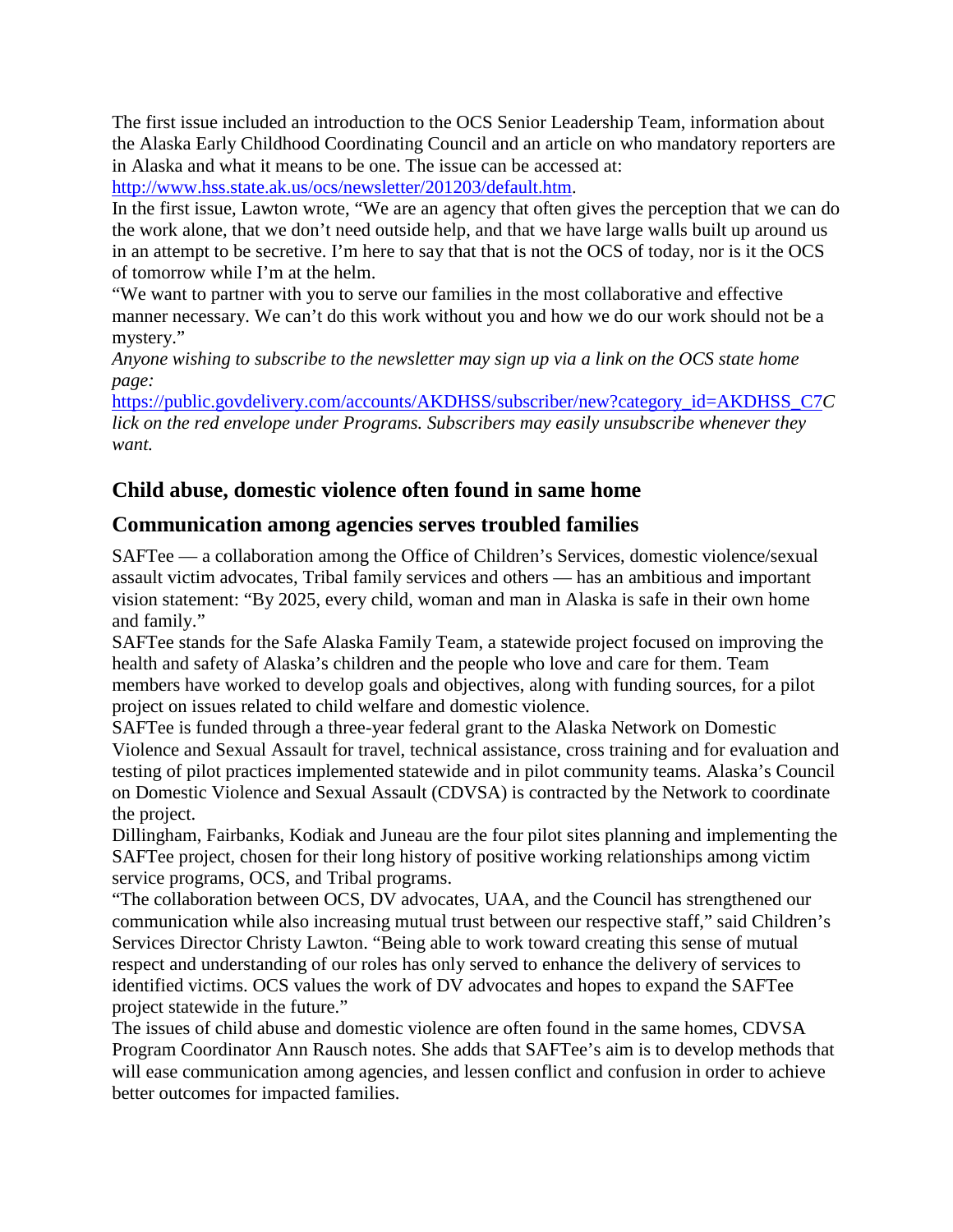The first issue included an introduction to the OCS Senior Leadership Team, information about the Alaska Early Childhood Coordinating Council and an article on who mandatory reporters are in Alaska and what it means to be one. The issue can be accessed at:

[http://www.hss.state.ak.us/ocs/newsletter/201203/default.htm.](http://www.hss.state.ak.us/ocs/newsletter/201203/default.htm)

In the first issue, Lawton wrote, "We are an agency that often gives the perception that we can do the work alone, that we don't need outside help, and that we have large walls built up around us in an attempt to be secretive. I'm here to say that that is not the OCS of today, nor is it the OCS of tomorrow while I'm at the helm.

"We want to partner with you to serve our families in the most collaborative and effective manner necessary. We can't do this work without you and how we do our work should not be a mystery."

*Anyone wishing to subscribe to the newsletter may sign up via a link on the OCS state home page:*

[https://public.govdelivery.com/accounts/AKDHSS/subscriber/new?category\\_id=AKDHSS\\_C7](https://public.govdelivery.com/accounts/AKDHSS/subscriber/new?category_id=AKDHSS_C7)*C lick on the red envelope under Programs. Subscribers may easily unsubscribe whenever they want.*

## **Child abuse, domestic violence often found in same home**

## **Communication among agencies serves troubled families**

SAFTee — a collaboration among the Office of Children's Services, domestic violence/sexual assault victim advocates, Tribal family services and others — has an ambitious and important vision statement: "By 2025, every child, woman and man in Alaska is safe in their own home and family."

SAFTee stands for the Safe Alaska Family Team, a statewide project focused on improving the health and safety of Alaska's children and the people who love and care for them. Team members have worked to develop goals and objectives, along with funding sources, for a pilot project on issues related to child welfare and domestic violence.

SAFTee is funded through a three-year federal grant to the Alaska Network on Domestic Violence and Sexual Assault for travel, technical assistance, cross training and for evaluation and testing of pilot practices implemented statewide and in pilot community teams. Alaska's Council on Domestic Violence and Sexual Assault (CDVSA) is contracted by the Network to coordinate the project.

Dillingham, Fairbanks, Kodiak and Juneau are the four pilot sites planning and implementing the SAFTee project, chosen for their long history of positive working relationships among victim service programs, OCS, and Tribal programs.

"The collaboration between OCS, DV advocates, UAA, and the Council has strengthened our communication while also increasing mutual trust between our respective staff," said Children's Services Director Christy Lawton. "Being able to work toward creating this sense of mutual respect and understanding of our roles has only served to enhance the delivery of services to identified victims. OCS values the work of DV advocates and hopes to expand the SAFTee project statewide in the future."

The issues of child abuse and domestic violence are often found in the same homes, CDVSA Program Coordinator Ann Rausch notes. She adds that SAFTee's aim is to develop methods that will ease communication among agencies, and lessen conflict and confusion in order to achieve better outcomes for impacted families.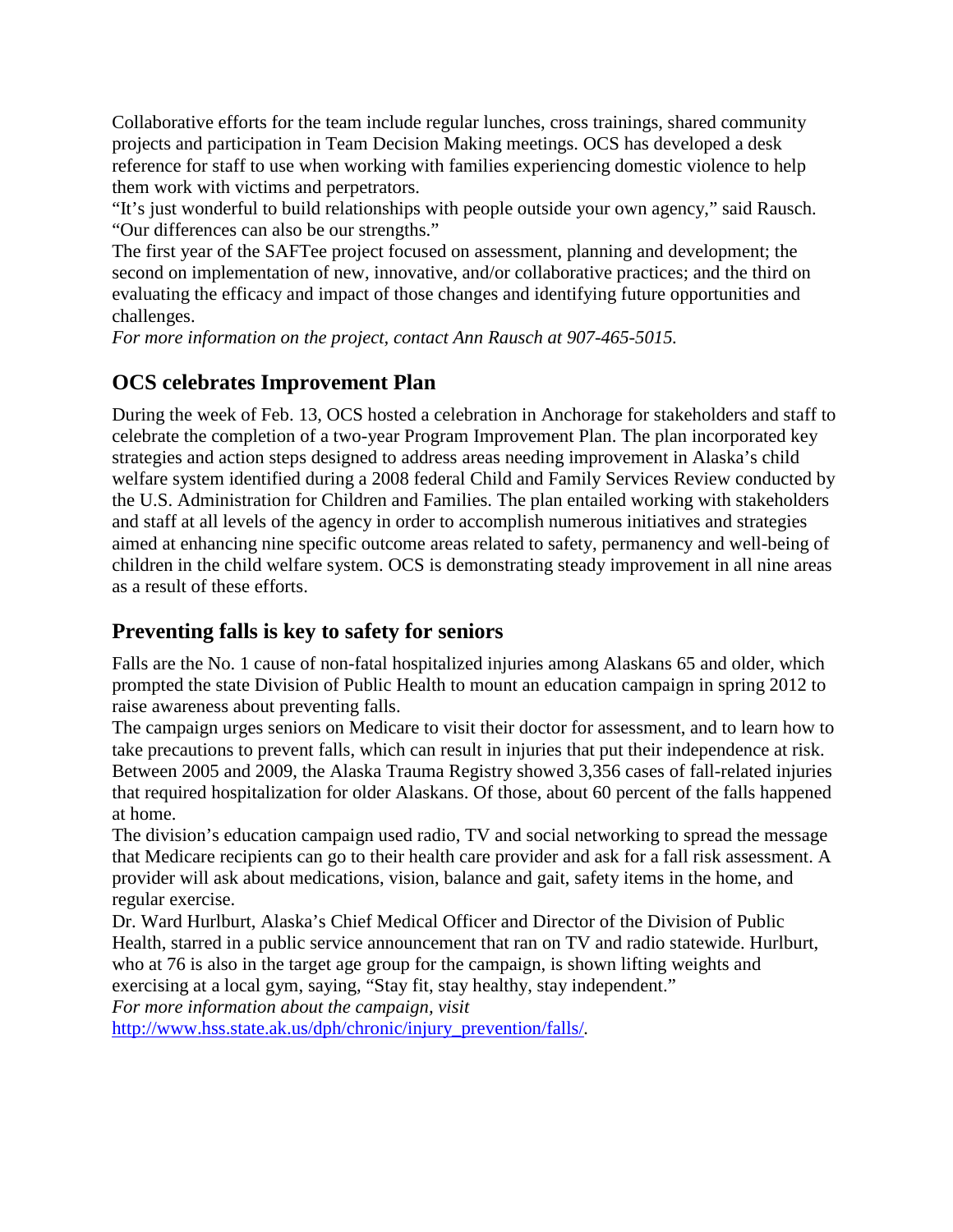Collaborative efforts for the team include regular lunches, cross trainings, shared community projects and participation in Team Decision Making meetings. OCS has developed a desk reference for staff to use when working with families experiencing domestic violence to help them work with victims and perpetrators.

"It's just wonderful to build relationships with people outside your own agency," said Rausch. "Our differences can also be our strengths."

The first year of the SAFTee project focused on assessment, planning and development; the second on implementation of new, innovative, and/or collaborative practices; and the third on evaluating the efficacy and impact of those changes and identifying future opportunities and challenges.

*For more information on the project, contact Ann Rausch at 907-465-5015.*

## **OCS celebrates Improvement Plan**

During the week of Feb. 13, OCS hosted a celebration in Anchorage for stakeholders and staff to celebrate the completion of a two-year Program Improvement Plan. The plan incorporated key strategies and action steps designed to address areas needing improvement in Alaska's child welfare system identified during a 2008 federal Child and Family Services Review conducted by the U.S. Administration for Children and Families. The plan entailed working with stakeholders and staff at all levels of the agency in order to accomplish numerous initiatives and strategies aimed at enhancing nine specific outcome areas related to safety, permanency and well-being of children in the child welfare system. OCS is demonstrating steady improvement in all nine areas as a result of these efforts.

### **Preventing falls is key to safety for seniors**

Falls are the No. 1 cause of non-fatal hospitalized injuries among Alaskans 65 and older, which prompted the state Division of Public Health to mount an education campaign in spring 2012 to raise awareness about preventing falls.

The campaign urges seniors on Medicare to visit their doctor for assessment, and to learn how to take precautions to prevent falls, which can result in injuries that put their independence at risk. Between 2005 and 2009, the Alaska Trauma Registry showed 3,356 cases of fall-related injuries that required hospitalization for older Alaskans. Of those, about 60 percent of the falls happened at home.

The division's education campaign used radio, TV and social networking to spread the message that Medicare recipients can go to their health care provider and ask for a fall risk assessment. A provider will ask about medications, vision, balance and gait, safety items in the home, and regular exercise.

Dr. Ward Hurlburt, Alaska's Chief Medical Officer and Director of the Division of Public Health, starred in a public service announcement that ran on TV and radio statewide. Hurlburt, who at 76 is also in the target age group for the campaign, is shown lifting weights and exercising at a local gym, saying, "Stay fit, stay healthy, stay independent."

*For more information about the campaign, visit* 

[http://www.hss.state.ak.us/dph/chronic/injury\\_prevention/falls/](http://www.hss.state.ak.us/dph/chronic/injury_prevention/falls/)*.*